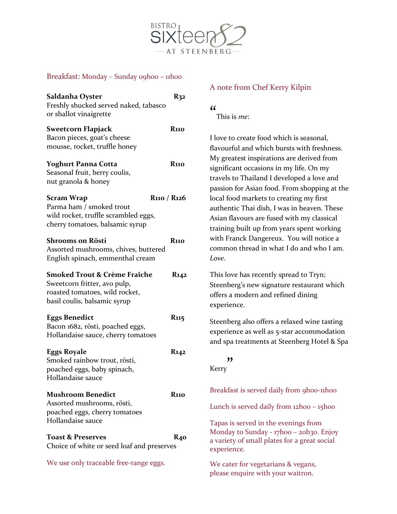

## Breakfast: Monday - Sunday o9hoo - 11h00

| Saldanha Oyster<br>Freshly shucked served naked, tabasco<br>or shallot vinaigrette                                                                               | $R_{32}$                |
|------------------------------------------------------------------------------------------------------------------------------------------------------------------|-------------------------|
| <b>Sweetcorn Flapjack</b><br>Bacon pieces, goat's cheese<br>mousse, rocket, truffle honey                                                                        | <b>R</b> 110            |
| <b>Yoghurt Panna Cotta</b><br>Seasonal fruit, berry coulis,<br>nut granola & honey                                                                               | R110                    |
| <b>Scram Wrap</b><br>R <sub>110</sub> / R <sub>12</sub> 6<br>Parma ham / smoked trout<br>wild rocket, truffle scrambled eggs,<br>cherry tomatoes, balsamic syrup |                         |
| Shrooms on Rösti<br>Assorted mushrooms, chives, buttered<br>English spinach, emmenthal cream                                                                     | <b>R</b> 110            |
| <b>Smoked Trout &amp; Crème Fraîche</b><br>Sweetcorn fritter, avo pulp,<br>roasted tomatoes, wild rocket,<br>basil coulis, balsamic syrup                        | <b>R142</b>             |
| <b>Eggs Benedict</b><br>Bacon 1682, rösti, poached eggs,<br>Hollandaise sauce, cherry tomatoes                                                                   | <b>R</b> 115            |
| Eggs Royale<br>Smoked rainbow trout, rösti,<br>poached eggs, baby spinach,<br>Hollandaise sauce                                                                  | <b>K142</b>             |
| <b>Mushroom Benedict</b><br>Assorted mushrooms, rösti,<br>poached eggs, cherry tomatoes<br>Hollandaise sauce                                                     | <b>R</b> <sub>110</sub> |
| <b>Toast &amp; Preserves</b><br>Choice of white or seed loaf and preserves<br>We use only traceable free-range eggs.                                             | R <sub>40</sub>         |
|                                                                                                                                                                  |                         |

## A note from Chef Kerry Kilpin

 $\alpha$ 

This is *me*:

I love to create food which is seasonal, flavourful and which bursts with freshness. My greatest inspirations are derived from significant occasions in my life. On my travels to Thailand I developed a love and passion for Asian food. From shopping at the local food markets to creating my first authentic Thai dish, I was in heaven. These Asian flavours are fused with my classical training built up from years spent working with Franck Dangereux. You will notice a common thread in what I do and who I am. *Love*.

This love has recently spread to Tryn; Steenberg's new signature restaurant which offers a modern and refined dining experience.

Steenberg also offers a relaxed wine tasting experience as well as 5-star accommodation and spa treatments at Steenberg Hotel & Spa

#### Kerry "

Breakfast is served daily from 9h00-11h00

Lunch is served daily from 12h00 - 15h00

Tapas is served in the evenings from Monday to Sunday - 17h00 - 20h30. Enjoy a variety of small plates for a great social experience.

We cater for vegetarians & vegans, please enquire with your waitron.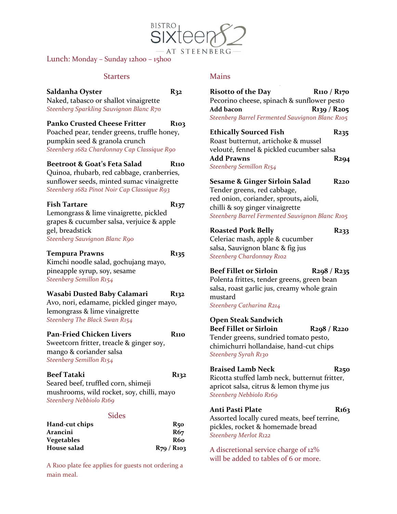Lunch: Monday - Sunday 12hoo - 15hoo

#### **Starters**

#### **Saldanha Oyster R32** Naked, tabasco or shallot vinaigrette *Steenberg Sparkling Sauvignon Blanc R70*

**Panko Crusted Cheese Fritter R103** 

Poached pear, tender greens, truffle honey, pumpkin seed & granola crunch *Steenberg 1682 Chardonnay Cap Classique R90*

## **Beetroot & Goat's Feta Salad R110**

Quinoa, rhubarb, red cabbage, cranberries, sunflower seeds, minted sumac vinaigrette *Steenberg 1682 Pinot Noir Cap Classique R93*

#### Fish Tartare R<sub>137</sub>

Lemongrass & lime vinaigrette, pickled grapes & cucumber salsa, verjuice & apple gel, breadstick *Steenberg Sauvignon Blanc R90*

#### **Tempura Prawns R135**

Kimchi noodle salad, gochujang mayo, pineapple syrup, soy, sesame *Steenberg Semillon R154*

## **Wasabi Dusted Baby Calamari R132**

Avo, nori, edamame, pickled ginger mayo, lemongrass & lime vinaigrette *Steenberg The Black Swan R154*

# **Pan-Fried Chicken Livers R110**

Sweetcorn fritter, treacle & ginger soy, mango & coriander salsa *Steenberg Semillon R154*

## **Beef Tataki R132**

Seared beef, truffled corn, shimeji mushrooms, wild rocket, soy, chilli, mayo *Steenberg Nebbiolo R169*

## **Sides**

| Hand-cut chips    | R50                  |
|-------------------|----------------------|
| Arancini          | R67                  |
| <b>Vegetables</b> | <b>R60</b>           |
| House salad       | $R_{79}$ / $R_{103}$ |

A R100 plate fee applies for guests not ordering a main meal.

## **Mains**

- AT STEENBERG

| <b>Risotto of the Day</b>                       | R <sub>110</sub> / R <sub>170</sub> |
|-------------------------------------------------|-------------------------------------|
| Pecorino cheese, spinach & sunflower pesto      |                                     |
| Add bacon                                       | $R_{139} / R_{205}$                 |
| Steenberg Barrel Fermented Sauvignon Blanc R105 |                                     |

**Ethically Sourced Fish R235** Roast butternut, artichoke & mussel velouté, fennel & pickled cucumber salsa **Add Prawns R294** *Steenberg Semillon R154*

**Sesame & Ginger Sirloin Salad R220** Tender greens, red cabbage, red onion, coriander, sprouts**,** aioli, chilli & soy ginger vinaigrette *Steenberg Barrel Fermented Sauvignon Blanc R105*

## **Roasted Pork Belly R233**

Celeriac mash, apple & cucumber salsa, Sauvignon blanc & fig jus *Steenberg Chardonnay R102*

**Beef Fillet or Sirloin R298 / R235**

Polenta frittes, tender greens, green bean salsa, roast garlic jus, creamy whole grain mustard *Steenberg Catharina R214*

**Open Steak Sandwich Beef Fillet or Sirloin R298 / R220** Tender greens, sundried tomato pesto, chimichurri hollandaise, hand-cut chips *Steenberg Syrah R130*

#### **Braised Lamb Neck R250**

Ricotta stuffed lamb neck, butternut fritter, apricot salsa, citrus & lemon thyme jus *Steenberg Nebbiolo R169*

## Anti Pasti Plate R163

Assorted locally cured meats, beef terrine, pickles, rocket & homemade bread *Steenberg Merlot R122*

A discretional service charge of 12% will be added to tables of 6 or more.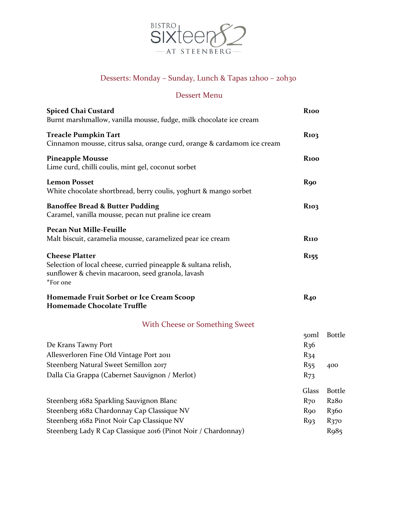

# Desserts: Monday – Sunday, Lunch & Tapas 12h00 – 20h30

## Dessert Menu

| <b>Spiced Chai Custard</b><br>Burnt marshmallow, vanilla mousse, fudge, milk chocolate ice cream                                                                                                      | <b>R100</b>                                                             |                                                                                                             |
|-------------------------------------------------------------------------------------------------------------------------------------------------------------------------------------------------------|-------------------------------------------------------------------------|-------------------------------------------------------------------------------------------------------------|
| <b>Treacle Pumpkin Tart</b><br>Cinnamon mousse, citrus salsa, orange curd, orange & cardamom ice cream                                                                                                | <b>R</b> <sub>103</sub>                                                 |                                                                                                             |
| <b>Pineapple Mousse</b><br>Lime curd, chilli coulis, mint gel, coconut sorbet                                                                                                                         | <b>R100</b>                                                             |                                                                                                             |
| <b>Lemon Posset</b><br>White chocolate shortbread, berry coulis, yoghurt & mango sorbet                                                                                                               | <b>R90</b>                                                              |                                                                                                             |
| <b>Banoffee Bread &amp; Butter Pudding</b><br>Caramel, vanilla mousse, pecan nut praline ice cream                                                                                                    | <b>R</b> 103                                                            |                                                                                                             |
| <b>Pecan Nut Mille-Feuille</b><br>Malt biscuit, caramelia mousse, caramelized pear ice cream                                                                                                          | <b>R110</b>                                                             |                                                                                                             |
| <b>Cheese Platter</b><br>Selection of local cheese, curried pineapple & sultana relish,<br>sunflower & chevin macaroon, seed granola, lavash<br>*For one                                              | <b>R</b> 155                                                            |                                                                                                             |
| Homemade Fruit Sorbet or Ice Cream Scoop<br><b>Homemade Chocolate Truffle</b>                                                                                                                         | $R_{40}$                                                                |                                                                                                             |
| With Cheese or Something Sweet                                                                                                                                                                        |                                                                         |                                                                                                             |
| De Krans Tawny Port<br>Allesverloren Fine Old Vintage Port 2011<br>Steenberg Natural Sweet Semillon 2017<br>Dalla Cia Grappa (Cabernet Sauvignon / Merlot)                                            | 50 <sub>ml</sub><br>R <sub>36</sub><br>$R_{34}$<br>$R_{55}$<br>$R_{73}$ | <b>Bottle</b><br>400                                                                                        |
| Steenberg 1682 Sparkling Sauvignon Blanc<br>Steenberg 1682 Chardonnay Cap Classique NV<br>Steenberg 1682 Pinot Noir Cap Classique NV<br>Steenberg Lady R Cap Classique 2016 (Pinot Noir / Chardonnay) | Glass<br>$R_{70}$<br><b>R</b> 90<br>R <sub>93</sub>                     | <b>Bottle</b><br>R <sub>2</sub> 80<br>R <sub>360</sub><br>R <sub>370</sub><br>R <sub>9</sub> 8 <sub>5</sub> |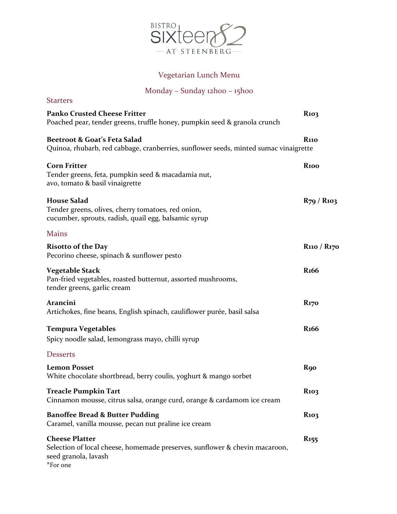

## Vegetarian Lunch Menu

# Monday – Sunday 12h00 – 15h00

| <b>Starters</b>                                                                                                                          |                                     |
|------------------------------------------------------------------------------------------------------------------------------------------|-------------------------------------|
| <b>Panko Crusted Cheese Fritter</b><br>Poached pear, tender greens, truffle honey, pumpkin seed & granola crunch                         | <b>R</b> 103                        |
| Beetroot & Goat's Feta Salad<br>Quinoa, rhubarb, red cabbage, cranberries, sunflower seeds, minted sumac vinaigrette                     | <b>R</b> 110                        |
| <b>Corn Fritter</b><br>Tender greens, feta, pumpkin seed & macadamia nut,<br>avo, tomato & basil vinaigrette                             | <b>R100</b>                         |
| <b>House Salad</b><br>Tender greens, olives, cherry tomatoes, red onion,<br>cucumber, sprouts, radish, quail egg, balsamic syrup         | $R_{79}$ / $R_{103}$                |
| <b>Mains</b>                                                                                                                             |                                     |
| <b>Risotto of the Day</b><br>Pecorino cheese, spinach & sunflower pesto                                                                  | R <sub>110</sub> / R <sub>170</sub> |
| <b>Vegetable Stack</b><br>Pan-fried vegetables, roasted butternut, assorted mushrooms,<br>tender greens, garlic cream                    | <b>R</b> 166                        |
| Arancini<br>Artichokes, fine beans, English spinach, cauliflower purée, basil salsa                                                      | <b>R</b> <sub>170</sub>             |
| <b>Tempura Vegetables</b><br>Spicy noodle salad, lemongrass mayo, chilli syrup                                                           | R <sub>166</sub>                    |
| <b>Desserts</b>                                                                                                                          |                                     |
| <b>Lemon Posset</b><br>White chocolate shortbread, berry coulis, yoghurt & mango sorbet                                                  | <b>R</b> 90                         |
| <b>Treacle Pumpkin Tart</b><br>Cinnamon mousse, citrus salsa, orange curd, orange & cardamom ice cream                                   | <b>R</b> 103                        |
| <b>Banoffee Bread &amp; Butter Pudding</b><br>Caramel, vanilla mousse, pecan nut praline ice cream                                       | <b>R</b> <sub>103</sub>             |
| <b>Cheese Platter</b><br>Selection of local cheese, homemade preserves, sunflower & chevin macaroon,<br>seed granola, lavash<br>*For one | <b>R</b> <sub>155</sub>             |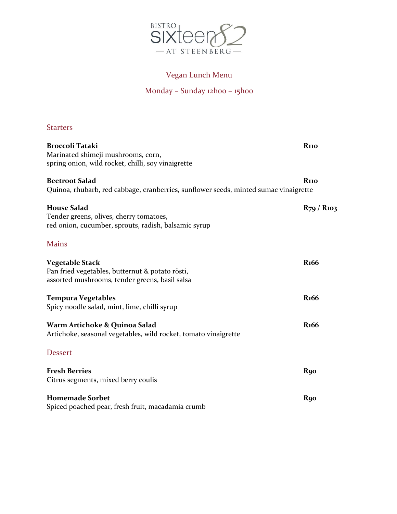

## Vegan Lunch Menu

# Monday – Sunday 12h00 – 15h00

## **Starters**

| Broccoli Tataki<br>Marinated shimeji mushrooms, corn,<br>spring onion, wild rocket, chilli, soy vinaigrette           | <b>R</b> 110         |
|-----------------------------------------------------------------------------------------------------------------------|----------------------|
| <b>Beetroot Salad</b><br>Quinoa, rhubarb, red cabbage, cranberries, sunflower seeds, minted sumac vinaigrette         | <b>R110</b>          |
| <b>House Salad</b><br>Tender greens, olives, cherry tomatoes,<br>red onion, cucumber, sprouts, radish, balsamic syrup | $R_{79}$ / $R_{103}$ |
| <b>Mains</b>                                                                                                          |                      |
| Vegetable Stack<br>Pan fried vegetables, butternut & potato rösti,<br>assorted mushrooms, tender greens, basil salsa  | <b>R</b> 166         |
| Tempura Vegetables<br>Spicy noodle salad, mint, lime, chilli syrup                                                    | <b>R</b> 166         |
| Warm Artichoke & Quinoa Salad<br>Artichoke, seasonal vegetables, wild rocket, tomato vinaigrette                      | <b>R</b> 166         |
| <b>Dessert</b>                                                                                                        |                      |
| <b>Fresh Berries</b><br>Citrus segments, mixed berry coulis                                                           | <b>R</b> 90          |
| <b>Homemade Sorbet</b><br>Spiced poached pear, fresh fruit, macadamia crumb                                           | <b>R</b> 90          |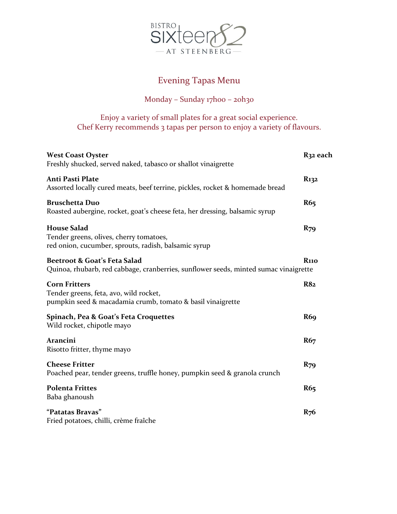

# Evening Tapas Menu

## Monday – Sunday 17h00 – 20h30

Enjoy a variety of small plates for a great social experience. Chef Kerry recommends 3 tapas per person to enjoy a variety of flavours.

| <b>West Coast Oyster</b><br>Freshly shucked, served naked, tabasco or shallot vinaigrette                                    | R32 each         |
|------------------------------------------------------------------------------------------------------------------------------|------------------|
| <b>Anti Pasti Plate</b><br>Assorted locally cured meats, beef terrine, pickles, rocket & homemade bread                      | R <sub>132</sub> |
| <b>Bruschetta Duo</b><br>Roasted aubergine, rocket, goat's cheese feta, her dressing, balsamic syrup                         | R65              |
| <b>House Salad</b><br>Tender greens, olives, cherry tomatoes,<br>red onion, cucumber, sprouts, radish, balsamic syrup        | <b>R79</b>       |
| Beetroot & Goat's Feta Salad<br>Quinoa, rhubarb, red cabbage, cranberries, sunflower seeds, minted sumac vinaigrette         | <b>R110</b>      |
| <b>Corn Fritters</b><br>Tender greens, feta, avo, wild rocket,<br>pumpkin seed & macadamia crumb, tomato & basil vinaigrette | <b>R82</b>       |
| Spinach, Pea & Goat's Feta Croquettes<br>Wild rocket, chipotle mayo                                                          | R <sub>69</sub>  |
| Arancini<br>Risotto fritter, thyme mayo                                                                                      | R6 <sub>7</sub>  |
| <b>Cheese Fritter</b><br>Poached pear, tender greens, truffle honey, pumpkin seed & granola crunch                           | $R_{79}$         |
| <b>Polenta Frittes</b><br>Baba ghanoush                                                                                      | R65              |
| "Patatas Bravas"<br>Fried potatoes, chilli, crème fraîche                                                                    | $R_{76}$         |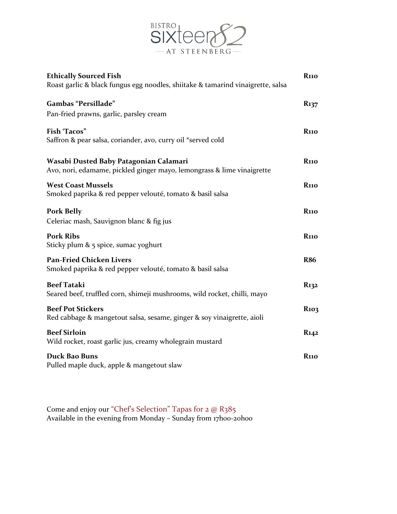

| <b>Ethically Sourced Fish</b><br>Roast garlic & black fungus egg noodles, shiitake & tamarind vinaigrette, salsa | <b>R</b> 110            |
|------------------------------------------------------------------------------------------------------------------|-------------------------|
| Gambas "Persillade"<br>Pan-fried prawns, garlic, parsley cream                                                   | $R_{137}$               |
| <b>Fish 'Tacos"</b><br>Saffron & pear salsa, coriander, avo, curry oil *served cold                              | <b>R</b> 110            |
| Wasabi Dusted Baby Patagonian Calamari<br>Avo, nori, edamame, pickled ginger mayo, lemongrass & lime vinaigrette | <b>R</b> 110            |
| <b>West Coast Mussels</b><br>Smoked paprika & red pepper velouté, tomato & basil salsa                           | <b>R</b> 110            |
| <b>Pork Belly</b><br>Celeriac mash, Sauvignon blanc & fig jus                                                    | <b>R110</b>             |
| <b>Pork Ribs</b><br>Sticky plum $\&$ 5 spice, sumac yoghurt                                                      | <b>R110</b>             |
| <b>Pan-Fried Chicken Livers</b><br>Smoked paprika & red pepper velouté, tomato & basil salsa                     | <b>R86</b>              |
| <b>Beef Tataki</b><br>Seared beef, truffled corn, shimeji mushrooms, wild rocket, chilli, mayo                   | R <sub>132</sub>        |
| <b>Beef Pot Stickers</b><br>Red cabbage & mangetout salsa, sesame, ginger & soy vinaigrette, aioli               | <b>R</b> <sub>103</sub> |
| <b>Beef Sirloin</b><br>Wild rocket, roast garlic jus, creamy wholegrain mustard                                  | R <sub>142</sub>        |
| Duck Bao Buns<br>Pulled maple duck, apple & mangetout slaw                                                       | <b>R110</b>             |

Come and enjoy our "Chef's Selection" Tapas for 2 @ R385 Available in the evening from Monday - Sunday from 17h00-20h00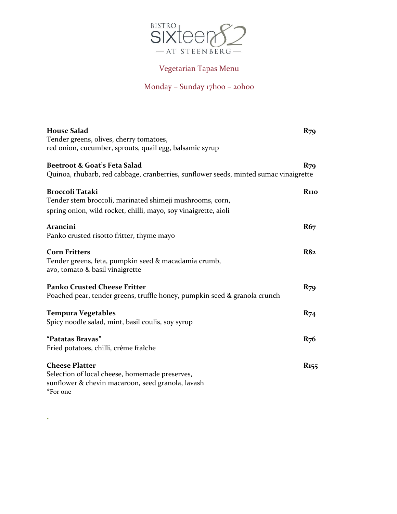

# Vegetarian Tapas Menu

## Monday – Sunday 17h00 – 20h00

| <b>House Salad</b>                                                                   | $R_{79}$                |
|--------------------------------------------------------------------------------------|-------------------------|
| Tender greens, olives, cherry tomatoes,                                              |                         |
| red onion, cucumber, sprouts, quail egg, balsamic syrup                              |                         |
| Beetroot & Goat's Feta Salad                                                         | <b>R79</b>              |
| Quinoa, rhubarb, red cabbage, cranberries, sunflower seeds, minted sumac vinaigrette |                         |
| <b>Broccoli Tataki</b>                                                               | <b>R</b> 110            |
| Tender stem broccoli, marinated shimeji mushrooms, corn,                             |                         |
| spring onion, wild rocket, chilli, mayo, soy vinaigrette, aioli                      |                         |
| Arancini                                                                             | R6 <sub>7</sub>         |
| Panko crusted risotto fritter, thyme mayo                                            |                         |
| <b>Corn Fritters</b>                                                                 | <b>R82</b>              |
| Tender greens, feta, pumpkin seed & macadamia crumb,                                 |                         |
| avo, tomato & basil vinaigrette                                                      |                         |
| <b>Panko Crusted Cheese Fritter</b>                                                  | $R_{79}$                |
| Poached pear, tender greens, truffle honey, pumpkin seed & granola crunch            |                         |
| <b>Tempura Vegetables</b>                                                            | $R_{74}$                |
| Spicy noodle salad, mint, basil coulis, soy syrup                                    |                         |
| "Patatas Bravas"                                                                     | $R_{76}$                |
| Fried potatoes, chilli, crème fraîche                                                |                         |
| <b>Cheese Platter</b>                                                                | <b>R</b> <sub>155</sub> |
| Selection of local cheese, homemade preserves,                                       |                         |
| sunflower & chevin macaroon, seed granola, lavash                                    |                         |
| *For one                                                                             |                         |

**.**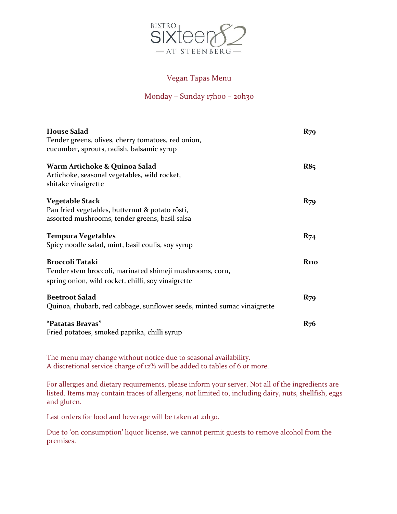

## Vegan Tapas Menu

## Monday – Sunday 17h00 – 20h30

| <b>House Salad</b>                                                                                                                       | $R_{79}$                |
|------------------------------------------------------------------------------------------------------------------------------------------|-------------------------|
| Tender greens, olives, cherry tomatoes, red onion,<br>cucumber, sprouts, radish, balsamic syrup                                          |                         |
| Warm Artichoke & Quinoa Salad<br>Artichoke, seasonal vegetables, wild rocket,<br>shitake vinaigrette                                     | <b>R85</b>              |
| Vegetable Stack<br>Pan fried vegetables, butternut & potato rösti,<br>assorted mushrooms, tender greens, basil salsa                     | $R_{79}$                |
| <b>Tempura Vegetables</b><br>Spicy noodle salad, mint, basil coulis, soy syrup                                                           | $R_{74}$                |
| <b>Broccoli Tataki</b><br>Tender stem broccoli, marinated shimeji mushrooms, corn,<br>spring onion, wild rocket, chilli, soy vinaigrette | <b>R</b> <sub>110</sub> |
| <b>Beetroot Salad</b><br>Quinoa, rhubarb, red cabbage, sunflower seeds, minted sumac vinaigrette                                         | $R_{79}$                |
| "Patatas Bravas"<br>Fried potatoes, smoked paprika, chilli syrup                                                                         | $R_{76}$                |

The menu may change without notice due to seasonal availability. A discretional service charge of 12% will be added to tables of 6 or more.

For allergies and dietary requirements, please inform your server. Not all of the ingredients are listed. Items may contain traces of allergens, not limited to, including dairy, nuts, shellfish, eggs and gluten.

Last orders for food and beverage will be taken at 21h30.

Due to 'on consumption' liquor license, we cannot permit guests to remove alcohol from the premises.